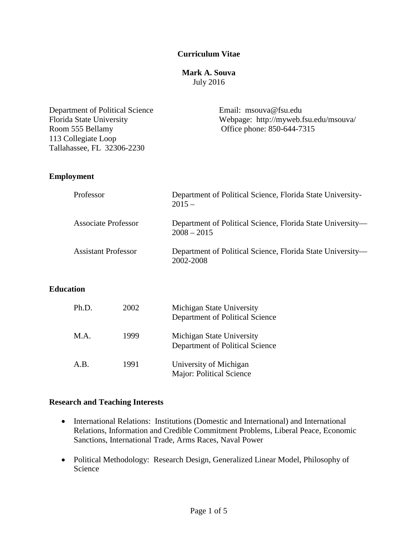## **Curriculum Vitae**

### **Mark A. Souva** July 2016

| Department of Political Science<br>Florida State University<br>Room 555 Bellamy<br>113 Collegiate Loop<br>Tallahassee, FL 32306-2230 | Email: $msouva@fsu.edu$<br>Webpage: http://myweb.fsu.edu/msouva/<br>Office phone: 850-644-7315 |  |
|--------------------------------------------------------------------------------------------------------------------------------------|------------------------------------------------------------------------------------------------|--|
| <b>Employment</b>                                                                                                                    |                                                                                                |  |
| Professor                                                                                                                            | Department of Political Science, Florida State University-<br>$2015 -$                         |  |
| <b>Associate Professor</b>                                                                                                           | Department of Political Science, Florida State University-<br>$2008 - 2015$                    |  |
| <b>Assistant Professor</b>                                                                                                           | Department of Political Science, Florida State University-<br>2002-2008                        |  |
|                                                                                                                                      |                                                                                                |  |

## **Education**

| Ph.D. | 2002 | Michigan State University<br>Department of Political Science |
|-------|------|--------------------------------------------------------------|
| M.A.  | 1999 | Michigan State University<br>Department of Political Science |
| A.B.  | 1991 | University of Michigan<br>Major: Political Science           |

## **Research and Teaching Interests**

- International Relations: Institutions (Domestic and International) and International Relations, Information and Credible Commitment Problems, Liberal Peace, Economic Sanctions, International Trade, Arms Races, Naval Power
- Political Methodology: Research Design, Generalized Linear Model, Philosophy of Science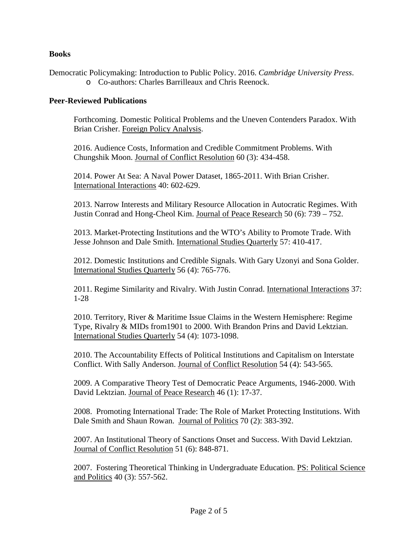## **Books**

Democratic Policymaking: Introduction to Public Policy. 2016. *Cambridge University Press*. o Co-authors: Charles Barrilleaux and Chris Reenock.

### **Peer-Reviewed Publications**

Forthcoming. Domestic Political Problems and the Uneven Contenders Paradox. With Brian Crisher. Foreign Policy Analysis.

2016. Audience Costs, Information and Credible Commitment Problems. With Chungshik Moon. Journal of Conflict Resolution 60 (3): 434-458.

2014. Power At Sea: A Naval Power Dataset, 1865-2011. With Brian Crisher. International Interactions 40: 602-629.

2013. Narrow Interests and Military Resource Allocation in Autocratic Regimes. With Justin Conrad and Hong-Cheol Kim. Journal of Peace Research 50 (6): 739 – 752.

2013. Market-Protecting Institutions and the WTO's Ability to Promote Trade. With Jesse Johnson and Dale Smith. International Studies Quarterly 57: 410-417.

2012. Domestic Institutions and Credible Signals. With Gary Uzonyi and Sona Golder. International Studies Quarterly 56 (4): 765-776.

2011. Regime Similarity and Rivalry. With Justin Conrad. International Interactions 37: 1-28

2010. Territory, River & Maritime Issue Claims in the Western Hemisphere: Regime Type, Rivalry & MIDs from1901 to 2000. With Brandon Prins and David Lektzian. International Studies Quarterly 54 (4): 1073-1098.

2010. The Accountability Effects of Political Institutions and Capitalism on Interstate Conflict. With Sally Anderson. Journal of Conflict Resolution 54 (4): 543-565.

2009. A Comparative Theory Test of Democratic Peace Arguments, 1946-2000. With David Lektzian. Journal of Peace Research 46 (1): 17-37.

2008. Promoting International Trade: The Role of Market Protecting Institutions. With Dale Smith and Shaun Rowan. Journal of Politics 70 (2): 383-392.

2007. An Institutional Theory of Sanctions Onset and Success. With David Lektzian. Journal of Conflict Resolution 51 (6): 848-871.

2007. Fostering Theoretical Thinking in Undergraduate Education. PS: Political Science and Politics 40 (3): 557-562.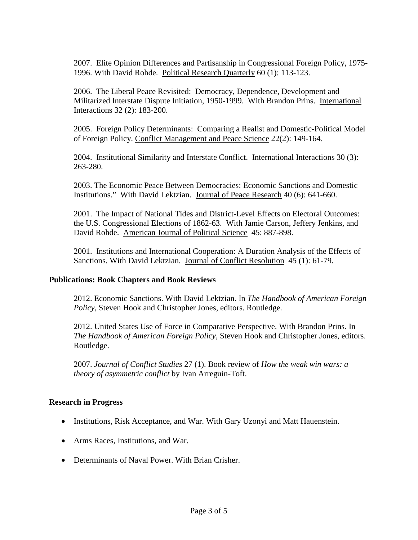2007. Elite Opinion Differences and Partisanship in Congressional Foreign Policy, 1975- 1996. With David Rohde. Political Research Quarterly 60 (1): 113-123.

2006. The Liberal Peace Revisited: Democracy, Dependence, Development and Militarized Interstate Dispute Initiation, 1950-1999. With Brandon Prins. International Interactions 32 (2): 183-200.

2005. Foreign Policy Determinants: Comparing a Realist and Domestic-Political Model of Foreign Policy. Conflict Management and Peace Science 22(2): 149-164.

2004. Institutional Similarity and Interstate Conflict. International Interactions 30 (3): 263-280.

2003. The Economic Peace Between Democracies: Economic Sanctions and Domestic Institutions." With David Lektzian. Journal of Peace Research 40 (6): 641-660.

2001. The Impact of National Tides and District-Level Effects on Electoral Outcomes: the U.S. Congressional Elections of 1862-63. With Jamie Carson, Jeffery Jenkins, and David Rohde. American Journal of Political Science 45: 887-898.

2001. Institutions and International Cooperation: A Duration Analysis of the Effects of Sanctions. With David Lektzian. Journal of Conflict Resolution 45 (1): 61-79.

### **Publications: Book Chapters and Book Reviews**

2012. Economic Sanctions. With David Lektzian. In *The Handbook of American Foreign Policy*, Steven Hook and Christopher Jones, editors. Routledge.

2012. United States Use of Force in Comparative Perspective. With Brandon Prins. In *The Handbook of American Foreign Policy*, Steven Hook and Christopher Jones, editors. Routledge.

2007. *Journal of Conflict Studies* 27 (1). Book review of *How the weak win wars: a theory of asymmetric conflict* by Ivan Arreguin-Toft.

#### **Research in Progress**

- Institutions, Risk Acceptance, and War. With Gary Uzonyi and Matt Hauenstein.
- Arms Races, Institutions, and War.
- Determinants of Naval Power. With Brian Crisher.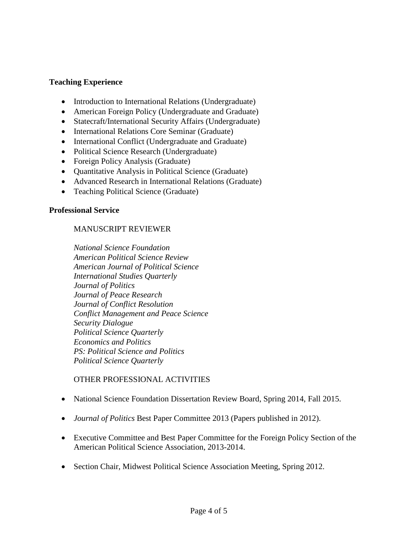## **Teaching Experience**

- Introduction to International Relations (Undergraduate)
- American Foreign Policy (Undergraduate and Graduate)
- Statecraft/International Security Affairs (Undergraduate)
- International Relations Core Seminar (Graduate)
- International Conflict (Undergraduate and Graduate)
- Political Science Research (Undergraduate)
- Foreign Policy Analysis (Graduate)
- Quantitative Analysis in Political Science (Graduate)
- Advanced Research in International Relations (Graduate)
- Teaching Political Science (Graduate)

### **Professional Service**

## MANUSCRIPT REVIEWER

*National Science Foundation American Political Science Review American Journal of Political Science International Studies Quarterly Journal of Politics Journal of Peace Research Journal of Conflict Resolution Conflict Management and Peace Science Security Dialogue Political Science Quarterly Economics and Politics PS: Political Science and Politics Political Science Quarterly*

### OTHER PROFESSIONAL ACTIVITIES

- National Science Foundation Dissertation Review Board, Spring 2014, Fall 2015.
- *Journal of Politics* Best Paper Committee 2013 (Papers published in 2012).
- Executive Committee and Best Paper Committee for the Foreign Policy Section of the American Political Science Association, 2013-2014.
- Section Chair, Midwest Political Science Association Meeting, Spring 2012.